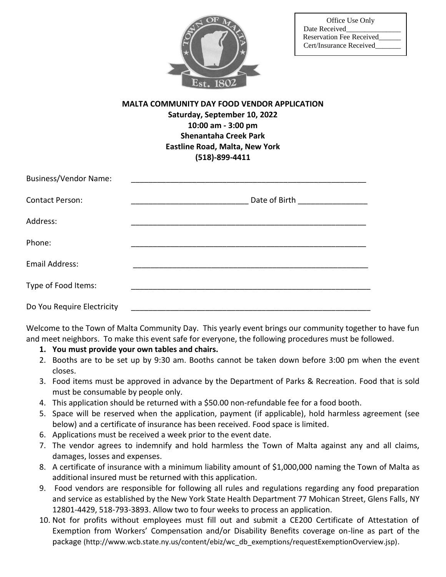

## **MALTA COMMUNITY DAY FOOD VENDOR APPLICATION Saturday, September 10, 2022 10:00 am - 3:00 pm Shenantaha Creek Park Eastline Road, Malta, New York (518)-899-4411**

| <b>Business/Vendor Name:</b> |                                    |
|------------------------------|------------------------------------|
| <b>Contact Person:</b>       | Date of Birth <b>Exercise 2018</b> |
| Address:                     |                                    |
| Phone:                       |                                    |
| Email Address:               |                                    |
| Type of Food Items:          |                                    |
| Do You Require Electricity   |                                    |

Welcome to the Town of Malta Community Day. This yearly event brings our community together to have fun and meet neighbors. To make this event safe for everyone, the following procedures must be followed.

- **1. You must provide your own tables and chairs.**
- 2. Booths are to be set up by 9:30 am. Booths cannot be taken down before 3:00 pm when the event closes.
- 3. Food items must be approved in advance by the Department of Parks & Recreation. Food that is sold must be consumable by people only.
- 4. This application should be returned with a \$50.00 non-refundable fee for a food booth.
- 5. Space will be reserved when the application, payment (if applicable), hold harmless agreement (see below) and a certificate of insurance has been received. Food space is limited.
- 6. Applications must be received a week prior to the event date.
- 7. The vendor agrees to indemnify and hold harmless the Town of Malta against any and all claims, damages, losses and expenses.
- 8. A certificate of insurance with a minimum liability amount of \$1,000,000 naming the Town of Malta as additional insured must be returned with this application.
- 9. Food vendors are responsible for following all rules and regulations regarding any food preparation and service as established by the New York State Health Department 77 Mohican Street, Glens Falls, NY 12801-4429, 518-793-3893. Allow two to four weeks to process an application.
- 10. Not for profits without employees must fill out and submit a CE200 Certificate of Attestation of Exemption from Workers' Compensation and/or Disability Benefits coverage on-line as part of the package (http://www.wcb.state.ny.us/content/ebiz/wc\_db\_exemptions/requestExemptionOverview.jsp).